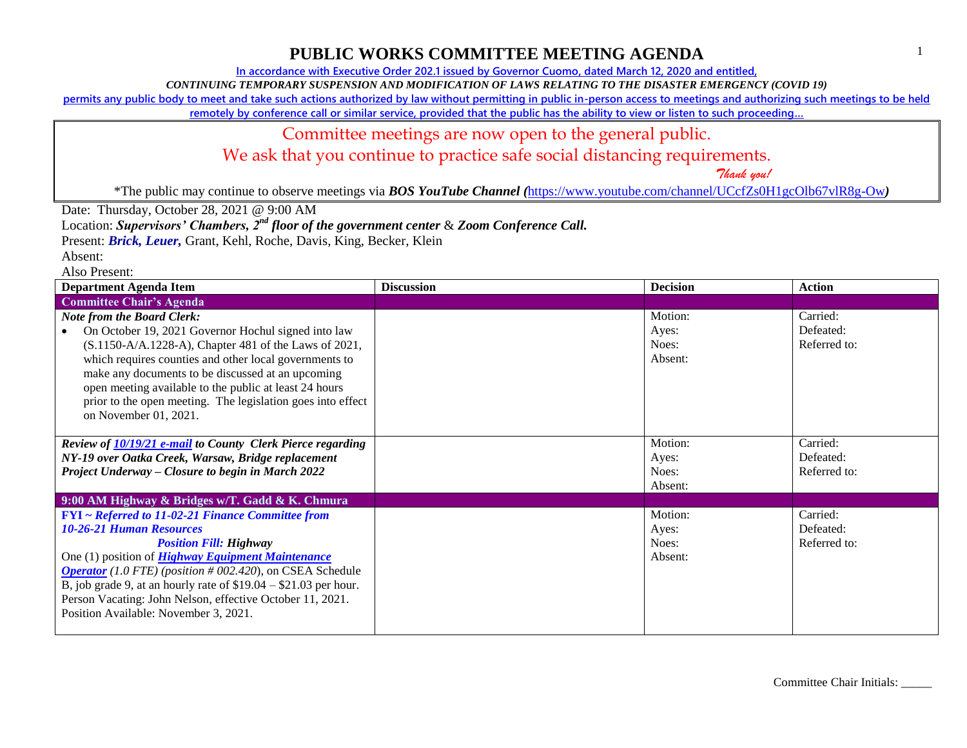**In accordance with Executive Order 202.1 issued by Governor Cuomo, dated March 12, 2020 and entitled,**

*CONTINUING TEMPORARY SUSPENSION AND MODIFICATION OF LAWS RELATING TO THE DISASTER EMERGENCY (COVID 19)*

**permits any public body to meet and take such actions authorized by law without permitting in public in-person access to meetings and authorizing such meetings to be held** 

**remotely by conference call or similar service, provided that the public has the ability to view or listen to such proceeding…**

### Committee meetings are now open to the general public.

We ask that you continue to practice safe social distancing requirements.

 *Thank you!*

\*The public may continue to observe meetings via *BOS YouTube Channel (*<https://www.youtube.com/channel/UCcfZs0H1gcOlb67vlR8g-Ow>*)*

Date: Thursday, October 28, 2021 @ 9:00 AM

Location: *Supervisors' Chambers, 2nd floor of the government center* & *Zoom Conference Call.*

Present: *Brick, Leuer,* Grant, Kehl, Roche, Davis, King, Becker, Klein

Absent:

Also Present:

| <b>Department Agenda Item</b>                                                                                                                                                                                                                                                                                                                                                                                                          | <b>Discussion</b> | <b>Decision</b>                      | <b>Action</b>                         |
|----------------------------------------------------------------------------------------------------------------------------------------------------------------------------------------------------------------------------------------------------------------------------------------------------------------------------------------------------------------------------------------------------------------------------------------|-------------------|--------------------------------------|---------------------------------------|
| <b>Committee Chair's Agenda</b>                                                                                                                                                                                                                                                                                                                                                                                                        |                   |                                      |                                       |
| <b>Note from the Board Clerk:</b><br>On October 19, 2021 Governor Hochul signed into law<br>(S.1150-A/A.1228-A), Chapter 481 of the Laws of 2021,<br>which requires counties and other local governments to<br>make any documents to be discussed at an upcoming<br>open meeting available to the public at least 24 hours<br>prior to the open meeting. The legislation goes into effect<br>on November 01, 2021.                     |                   | Motion:<br>Ayes:<br>Noes:<br>Absent: | Carried:<br>Defeated:<br>Referred to: |
| Review of 10/19/21 e-mail to County Clerk Pierce regarding<br>NY-19 over Oatka Creek, Warsaw, Bridge replacement<br>Project Underway – Closure to begin in March 2022                                                                                                                                                                                                                                                                  |                   | Motion:<br>Ayes:<br>Noes:<br>Absent: | Carried:<br>Defeated:<br>Referred to: |
| 9:00 AM Highway & Bridges w/T. Gadd & K. Chmura                                                                                                                                                                                                                                                                                                                                                                                        |                   |                                      |                                       |
| <b>FYI</b> ~ Referred to 11-02-21 Finance Committee from<br><b>10-26-21 Human Resources</b><br><b>Position Fill: Highway</b><br>One (1) position of <i>Highway Equipment Maintenance</i><br><b>Operator</b> (1.0 FTE) (position # 002.420), on CSEA Schedule<br>B, job grade 9, at an hourly rate of $$19.04 - $21.03$ per hour.<br>Person Vacating: John Nelson, effective October 11, 2021.<br>Position Available: November 3, 2021. |                   | Motion:<br>Ayes:<br>Noes:<br>Absent: | Carried:<br>Defeated:<br>Referred to: |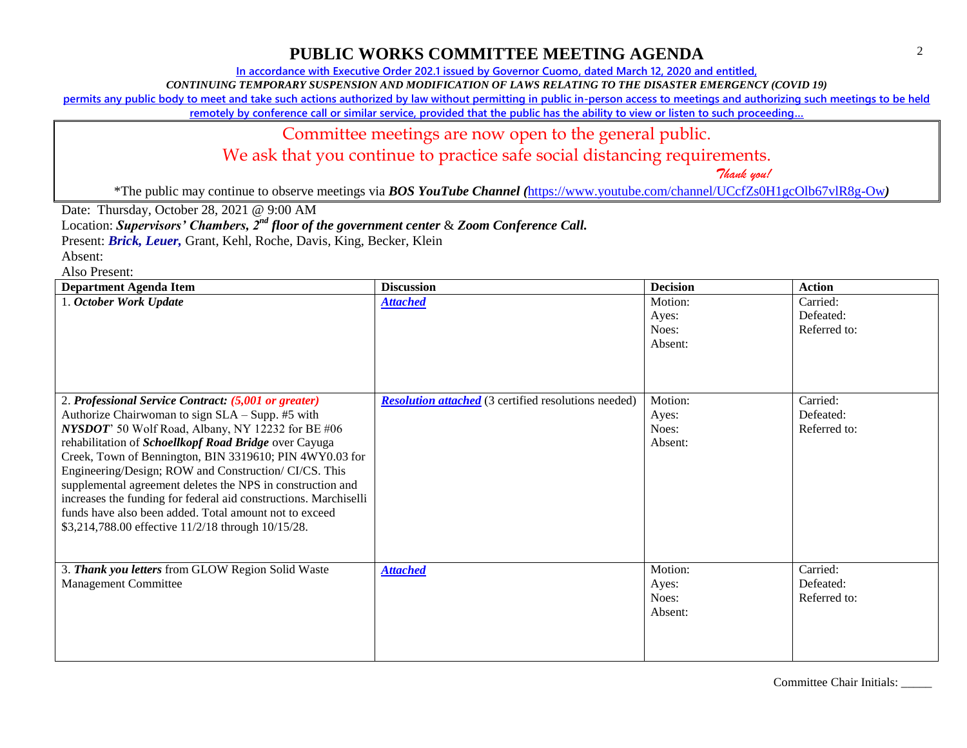**In accordance with Executive Order 202.1 issued by Governor Cuomo, dated March 12, 2020 and entitled,**

*CONTINUING TEMPORARY SUSPENSION AND MODIFICATION OF LAWS RELATING TO THE DISASTER EMERGENCY (COVID 19)*

**permits any public body to meet and take such actions authorized by law without permitting in public in-person access to meetings and authorizing such meetings to be held** 

**remotely by conference call or similar service, provided that the public has the ability to view or listen to such proceeding…**

#### Committee meetings are now open to the general public.

We ask that you continue to practice safe social distancing requirements.

 *Thank you!*

\*The public may continue to observe meetings via *BOS YouTube Channel (*<https://www.youtube.com/channel/UCcfZs0H1gcOlb67vlR8g-Ow>*)*

Date: Thursday, October 28, 2021 @ 9:00 AM

Location: *Supervisors' Chambers, 2nd floor of the government center* & *Zoom Conference Call.*

Present: *Brick, Leuer,* Grant, Kehl, Roche, Davis, King, Becker, Klein

Absent:

Also Present:

| <b>Department Agenda Item</b>                                                                                                                                                                                                                                                                                                                                                                                                                                                                                                                                                                | <b>Discussion</b>                                           | <b>Decision</b>                      | <b>Action</b>                         |
|----------------------------------------------------------------------------------------------------------------------------------------------------------------------------------------------------------------------------------------------------------------------------------------------------------------------------------------------------------------------------------------------------------------------------------------------------------------------------------------------------------------------------------------------------------------------------------------------|-------------------------------------------------------------|--------------------------------------|---------------------------------------|
| 1. October Work Update                                                                                                                                                                                                                                                                                                                                                                                                                                                                                                                                                                       | <b>Attached</b>                                             | Motion:<br>Ayes:<br>Noes:<br>Absent: | Carried:<br>Defeated:<br>Referred to: |
| 2. Professional Service Contract: (5,001 or greater)<br>Authorize Chairwoman to sign SLA - Supp. #5 with<br>NYSDOT' 50 Wolf Road, Albany, NY 12232 for BE #06<br>rehabilitation of Schoellkopf Road Bridge over Cayuga<br>Creek, Town of Bennington, BIN 3319610; PIN 4WY0.03 for<br>Engineering/Design; ROW and Construction/ CI/CS. This<br>supplemental agreement deletes the NPS in construction and<br>increases the funding for federal aid constructions. Marchiselli<br>funds have also been added. Total amount not to exceed<br>\$3,214,788.00 effective 11/2/18 through 10/15/28. | <b>Resolution attached</b> (3 certified resolutions needed) | Motion:<br>Ayes:<br>Noes:<br>Absent: | Carried:<br>Defeated:<br>Referred to: |
| 3. Thank you letters from GLOW Region Solid Waste<br><b>Management Committee</b>                                                                                                                                                                                                                                                                                                                                                                                                                                                                                                             | <b>Attached</b>                                             | Motion:<br>Ayes:<br>Noes:<br>Absent: | Carried:<br>Defeated:<br>Referred to: |

Committee Chair Initials: \_\_\_\_\_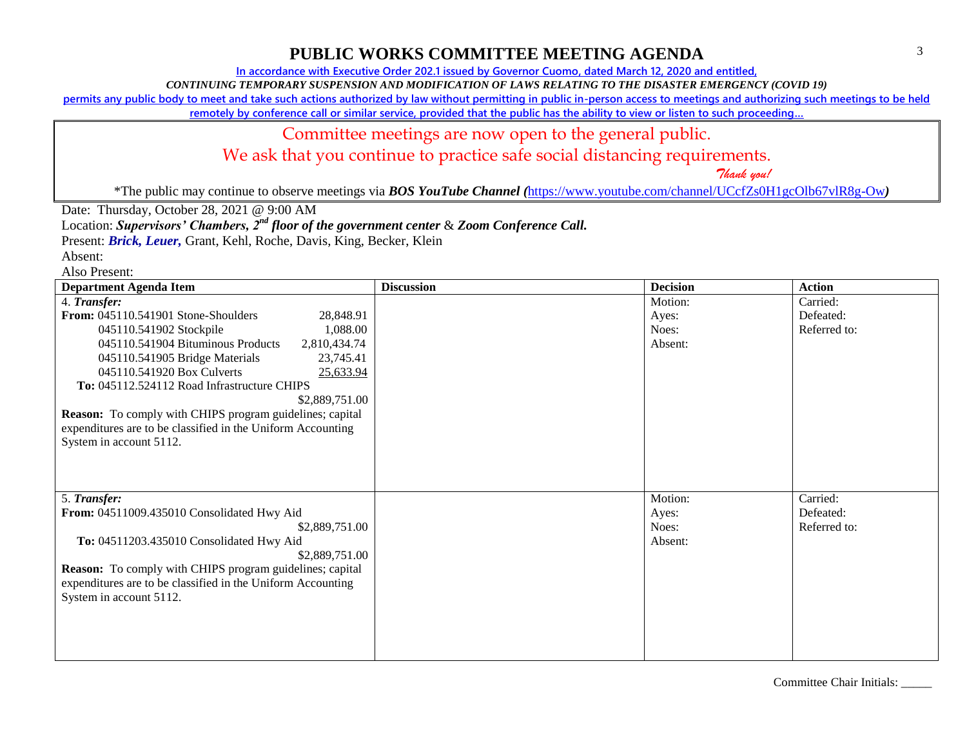**In accordance with Executive Order 202.1 issued by Governor Cuomo, dated March 12, 2020 and entitled,**

*CONTINUING TEMPORARY SUSPENSION AND MODIFICATION OF LAWS RELATING TO THE DISASTER EMERGENCY (COVID 19)*

**permits any public body to meet and take such actions authorized by law without permitting in public in-person access to meetings and authorizing such meetings to be held** 

**remotely by conference call or similar service, provided that the public has the ability to view or listen to such proceeding…**

#### Committee meetings are now open to the general public.

We ask that you continue to practice safe social distancing requirements.

 *Thank you!*

\*The public may continue to observe meetings via *BOS YouTube Channel (*<https://www.youtube.com/channel/UCcfZs0H1gcOlb67vlR8g-Ow>*)*

Date: Thursday, October 28, 2021 @ 9:00 AM

Location: *Supervisors' Chambers, 2nd floor of the government center* & *Zoom Conference Call.*

Present: *Brick, Leuer,* Grant, Kehl, Roche, Davis, King, Becker, Klein

Absent:

Also Present:

| <b>Department Agenda Item</b>                                                                                                                                                                                                                                                                                                                                                                                                                                                        | <b>Discussion</b> | <b>Decision</b>                      | <b>Action</b>                         |
|--------------------------------------------------------------------------------------------------------------------------------------------------------------------------------------------------------------------------------------------------------------------------------------------------------------------------------------------------------------------------------------------------------------------------------------------------------------------------------------|-------------------|--------------------------------------|---------------------------------------|
| 4. Transfer:<br>From: 045110.541901 Stone-Shoulders<br>28,848.91<br>1,088.00<br>045110.541902 Stockpile<br>045110.541904 Bituminous Products<br>2,810,434.74<br>045110.541905 Bridge Materials<br>23,745.41<br>045110.541920 Box Culverts<br>25,633.94<br>To: 045112.524112 Road Infrastructure CHIPS<br>\$2,889,751.00<br><b>Reason:</b> To comply with CHIPS program guidelines; capital<br>expenditures are to be classified in the Uniform Accounting<br>System in account 5112. |                   | Motion:<br>Ayes:<br>Noes:<br>Absent: | Carried:<br>Defeated:<br>Referred to: |
| 5. Transfer:<br>From: 04511009.435010 Consolidated Hwy Aid<br>\$2,889,751.00<br>To: 04511203.435010 Consolidated Hwy Aid<br>\$2,889,751.00<br><b>Reason:</b> To comply with CHIPS program guidelines; capital<br>expenditures are to be classified in the Uniform Accounting<br>System in account 5112.                                                                                                                                                                              |                   | Motion:<br>Ayes:<br>Noes:<br>Absent: | Carried:<br>Defeated:<br>Referred to: |

Committee Chair Initials: \_\_\_\_\_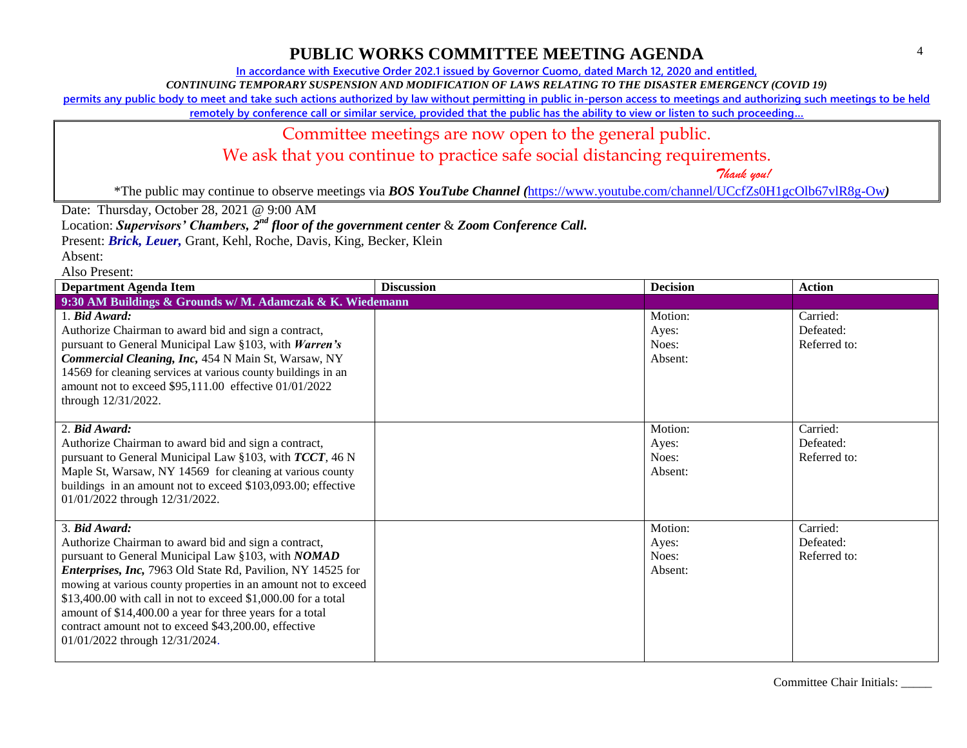**In accordance with Executive Order 202.1 issued by Governor Cuomo, dated March 12, 2020 and entitled,**

*CONTINUING TEMPORARY SUSPENSION AND MODIFICATION OF LAWS RELATING TO THE DISASTER EMERGENCY (COVID 19)*

**permits any public body to meet and take such actions authorized by law without permitting in public in-person access to meetings and authorizing such meetings to be held** 

**remotely by conference call or similar service, provided that the public has the ability to view or listen to such proceeding…**

#### Committee meetings are now open to the general public.

We ask that you continue to practice safe social distancing requirements.

 *Thank you!*

\*The public may continue to observe meetings via *BOS YouTube Channel (*<https://www.youtube.com/channel/UCcfZs0H1gcOlb67vlR8g-Ow>*)*

Date: Thursday, October 28, 2021 @ 9:00 AM

Location: *Supervisors' Chambers, 2nd floor of the government center* & *Zoom Conference Call.*

Present: *Brick, Leuer,* Grant, Kehl, Roche, Davis, King, Becker, Klein

Absent:

Also Present:

| <b>Department Agenda Item</b>                                                                                                                                                                                                                                                                                                                                                                                                                                                              | <b>Discussion</b> | <b>Decision</b>                      | <b>Action</b>                         |
|--------------------------------------------------------------------------------------------------------------------------------------------------------------------------------------------------------------------------------------------------------------------------------------------------------------------------------------------------------------------------------------------------------------------------------------------------------------------------------------------|-------------------|--------------------------------------|---------------------------------------|
| 9:30 AM Buildings & Grounds w/ M. Adamczak & K. Wiedemann                                                                                                                                                                                                                                                                                                                                                                                                                                  |                   |                                      |                                       |
| 1. Bid Award:<br>Authorize Chairman to award bid and sign a contract,<br>pursuant to General Municipal Law §103, with Warren's<br>Commercial Cleaning, Inc, 454 N Main St, Warsaw, NY<br>14569 for cleaning services at various county buildings in an<br>amount not to exceed \$95,111.00 effective 01/01/2022<br>through 12/31/2022.                                                                                                                                                     |                   | Motion:<br>Ayes:<br>Noes:<br>Absent: | Carried:<br>Defeated:<br>Referred to: |
| 2. Bid Award:<br>Authorize Chairman to award bid and sign a contract,<br>pursuant to General Municipal Law §103, with TCCT, 46 N<br>Maple St, Warsaw, NY 14569 for cleaning at various county<br>buildings in an amount not to exceed \$103,093.00; effective<br>01/01/2022 through 12/31/2022.                                                                                                                                                                                            |                   | Motion:<br>Ayes:<br>Noes:<br>Absent: | Carried:<br>Defeated:<br>Referred to: |
| 3. Bid Award:<br>Authorize Chairman to award bid and sign a contract,<br>pursuant to General Municipal Law §103, with NOMAD<br><i>Enterprises, Inc, 7963 Old State Rd, Pavilion, NY 14525 for</i><br>mowing at various county properties in an amount not to exceed<br>\$13,400.00 with call in not to exceed \$1,000.00 for a total<br>amount of \$14,400.00 a year for three years for a total<br>contract amount not to exceed \$43,200.00, effective<br>01/01/2022 through 12/31/2024. |                   | Motion:<br>Ayes:<br>Noes:<br>Absent: | Carried:<br>Defeated:<br>Referred to: |

Committee Chair Initials: \_\_\_\_\_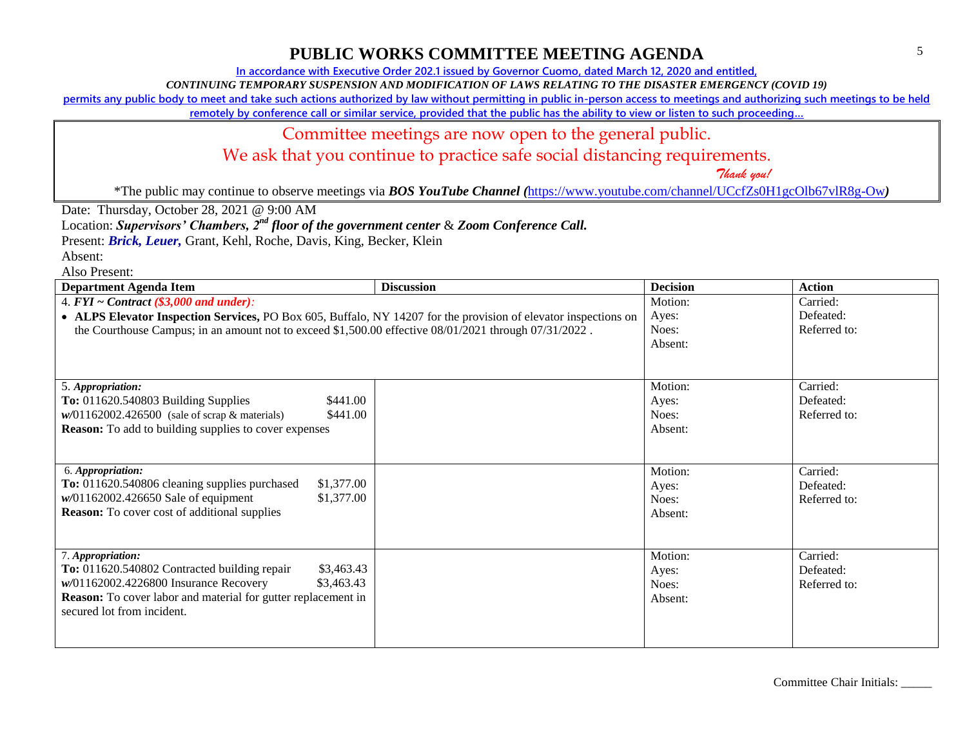**In accordance with Executive Order 202.1 issued by Governor Cuomo, dated March 12, 2020 and entitled,**

*CONTINUING TEMPORARY SUSPENSION AND MODIFICATION OF LAWS RELATING TO THE DISASTER EMERGENCY (COVID 19)*

**permits any public body to meet and take such actions authorized by law without permitting in public in-person access to meetings and authorizing such meetings to be held** 

**remotely by conference call or similar service, provided that the public has the ability to view or listen to such proceeding…**

### Committee meetings are now open to the general public.

We ask that you continue to practice safe social distancing requirements.

 *Thank you!*

\*The public may continue to observe meetings via *BOS YouTube Channel (*<https://www.youtube.com/channel/UCcfZs0H1gcOlb67vlR8g-Ow>*)*

Date: Thursday, October 28, 2021 @ 9:00 AM

Location: *Supervisors' Chambers, 2nd floor of the government center* & *Zoom Conference Call.*

Present: *Brick, Leuer,* Grant, Kehl, Roche, Davis, King, Becker, Klein

Absent:

Also Present:

| <b>Department Agenda Item</b>                                                                                   | <b>Discussion</b> | <b>Decision</b> | <b>Action</b> |
|-----------------------------------------------------------------------------------------------------------------|-------------------|-----------------|---------------|
| 4. $FYI \sim Contract$ (\$3,000 and under):                                                                     |                   | Motion:         | Carried:      |
| • ALPS Elevator Inspection Services, PO Box 605, Buffalo, NY 14207 for the provision of elevator inspections on |                   | Ayes:           | Defeated:     |
| the Courthouse Campus; in an amount not to exceed \$1,500.00 effective 08/01/2021 through 07/31/2022.           |                   | Noes:           | Referred to:  |
|                                                                                                                 |                   | Absent:         |               |
|                                                                                                                 |                   |                 |               |
|                                                                                                                 |                   |                 |               |
| 5. Appropriation:                                                                                               |                   | Motion:         | Carried:      |
| To: 011620.540803 Building Supplies<br>\$441.00                                                                 |                   | Ayes:           | Defeated:     |
| $w/01162002.426500$ (sale of scrap & materials)<br>\$441.00                                                     |                   | Noes:           | Referred to:  |
| <b>Reason:</b> To add to building supplies to cover expenses                                                    |                   | Absent:         |               |
|                                                                                                                 |                   |                 |               |
|                                                                                                                 |                   |                 |               |
| 6. Appropriation:                                                                                               |                   | Motion:         | Carried:      |
| To: 011620.540806 cleaning supplies purchased<br>\$1,377.00                                                     |                   | Ayes:           | Defeated:     |
| $w/01162002.426650$ Sale of equipment<br>\$1,377.00                                                             |                   | Noes:           | Referred to:  |
| <b>Reason:</b> To cover cost of additional supplies                                                             |                   | Absent:         |               |
|                                                                                                                 |                   |                 |               |
|                                                                                                                 |                   |                 |               |
| 7. Appropriation:                                                                                               |                   | Motion:         | Carried:      |
| To: 011620.540802 Contracted building repair<br>\$3,463.43                                                      |                   | Ayes:           | Defeated:     |
| w/01162002.4226800 Insurance Recovery<br>\$3,463.43                                                             |                   | Noes:           | Referred to:  |
| <b>Reason:</b> To cover labor and material for gutter replacement in                                            |                   | Absent:         |               |
| secured lot from incident.                                                                                      |                   |                 |               |
|                                                                                                                 |                   |                 |               |
|                                                                                                                 |                   |                 |               |